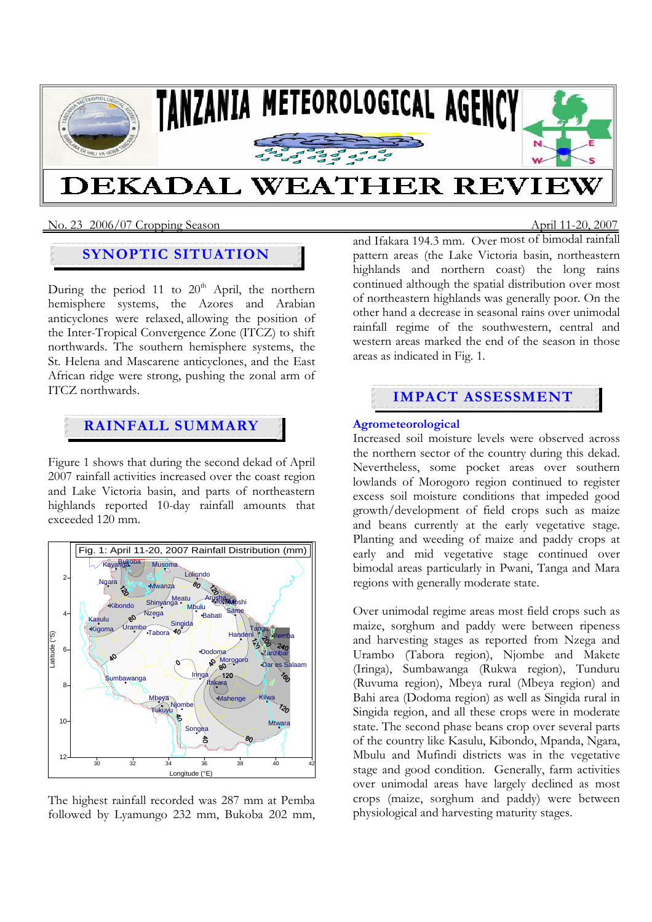

## No. 23 2006/07 Cropping SeasonApril 11-20, 2007

# **SYNOPTIC SITUATION**

During the period 11 to  $20<sup>th</sup>$  April, the northern hemisphere systems, the Azores and Arabian anticyclones were relaxed, allowing the position of the Inter-Tropical Convergence Zone (ITCZ) to shift northwards. The southern hemisphere systems, the St. Helena and Mascarene anticyclones, and the East African ridge were strong, pushing the zonal arm of ITCZ northwards.

# **RAINFALL SUMMARY**

Figure 1 shows that during the second dekad of April 2007 rainfall activities increased over the coast region and Lake Victoria basin, and parts of northeastern highlands reported 10-day rainfall amounts that exceeded 120 mm.



The highest rainfall recorded was 287 mm at Pemba followed by Lyamungo 232 mm, Bukoba 202 mm,

and Ifakara 194.3 mm. Over most of bimodal rainfall pattern areas (the Lake Victoria basin, northeastern highlands and northern coast) the long rains continued although the spatial distribution over most of northeastern highlands was generally poor. On the other hand a decrease in seasonal rains over unimodal rainfall regime of the southwestern, central and western areas marked the end of the season in those areas as indicated in Fig. 1.

# **IMPACT ASSESSMENT**

## **Agrometeorological**

Increased soil moisture levels were observed across the northern sector of the country during this dekad. Nevertheless, some pocket areas over southern lowlands of Morogoro region continued to register excess soil moisture conditions that impeded good growth/development of field crops such as maize and beans currently at the early vegetative stage. Planting and weeding of maize and paddy crops at early and mid vegetative stage continued over bimodal areas particularly in Pwani, Tanga and Mara regions with generally moderate state.

Over unimodal regime areas most field crops such as maize, sorghum and paddy were between ripeness and harvesting stages as reported from Nzega and Urambo (Tabora region), Njombe and Makete (Iringa), Sumbawanga (Rukwa region), Tunduru (Ruvuma region), Mbeya rural (Mbeya region) and Bahi area (Dodoma region) as well as Singida rural in Singida region, and all these crops were in moderate state. The second phase beans crop over several parts of the country like Kasulu, Kibondo, Mpanda, Ngara, Mbulu and Mufindi districts was in the vegetative stage and good condition. Generally, farm activities over unimodal areas have largely declined as most crops (maize, sorghum and paddy) were between physiological and harvesting maturity stages.